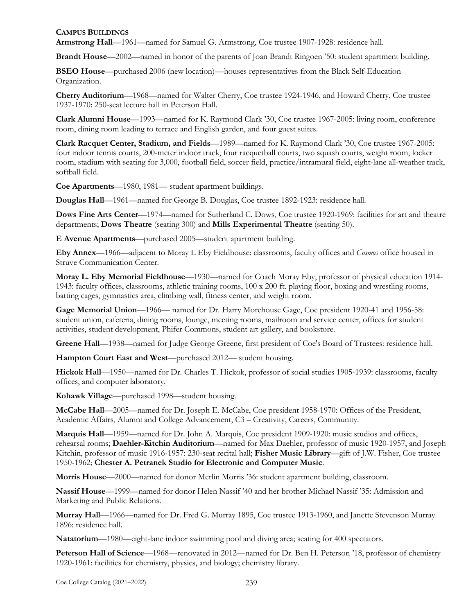## **CAMPUS BUILDINGS**

**Armstrong Hall**—1961—named for Samuel G. Armstrong, Coe trustee 1907-1928: residence hall.

**Brandt House**—2002—named in honor of the parents of Joan Brandt Ringoen '50: student apartment building.

**BSEO House**—purchased 2006 (new location)—houses representatives from the Black Self-Education Organization.

**Cherry Auditorium**—1968—named for Walter Cherry, Coe trustee 1924-1946, and Howard Cherry, Coe trustee 1937-1970: 250-seat lecture hall in Peterson Hall.

**Clark Alumni House**—1993—named for K. Raymond Clark '30, Coe trustee 1967-2005: living room, conference room, dining room leading to terrace and English garden, and four guest suites.

**Clark Racquet Center, Stadium, and Fields**—1989—named for K. Raymond Clark '30, Coe trustee 1967-2005: four indoor tennis courts, 200-meter indoor track, four racquetball courts, two squash courts, weight room, locker room, stadium with seating for 3,000, football field, soccer field, practice/intramural field, eight-lane all-weather track, softball field.

**Coe Apartments**—1980, 1981— student apartment buildings.

**Douglas Hall**—1961—named for George B. Douglas, Coe trustee 1892-1923: residence hall.

**Dows Fine Arts Center**—1974—named for Sutherland C. Dows, Coe trustee 1920-1969: facilities for art and theatre departments; **Dows Theatre** (seating 300) and **Mills Experimental Theatre** (seating 50).

**E Avenue Apartments**—purchased 2005—student apartment building.

**Eby Annex**—1966—adjacent to Moray L Eby Fieldhouse: classrooms, faculty offices and *Cosmos* office housed in Struve Communication Center.

**Moray L. Eby Memorial Fieldhouse**—1930—named for Coach Moray Eby, professor of physical education 1914- 1943: faculty offices, classrooms, athletic training rooms, 100 x 200 ft. playing floor, boxing and wrestling rooms, batting cages, gymnastics area, climbing wall, fitness center, and weight room.

**Gage Memorial Union**—1966— named for Dr. Harry Morehouse Gage, Coe president 1920-41 and 1956-58: student union, cafeteria, dining rooms, lounge, meeting rooms, mailroom and service center, offices for student activities, student development, Phifer Commons, student art gallery, and bookstore.

**Greene Hall**—1938—named for Judge George Greene, first president of Coe's Board of Trustees: residence hall.

**Hampton Court East and West**—purchased 2012— student housing.

**Hickok Hall**—1950—named for Dr. Charles T. Hickok, professor of social studies 1905-1939: classrooms, faculty offices, and computer laboratory.

**Kohawk Village**—purchased 1998—student housing.

**McCabe Hall**—2005—named for Dr. Joseph E. McCabe, Coe president 1958-1970: Offices of the President, Academic Affairs, Alumni and College Advancement, C3 – Creativity, Careers, Community.

**Marquis Hall**—1959—named for Dr. John A. Marquis, Coe president 1909-1920: music studios and offices, rehearsal rooms; **Daehler-Kitchin Auditorium**—named for Max Daehler, professor of music 1920-1957, and Joseph Kitchin, professor of music 1916-1957: 230-seat recital hall; **Fisher Music Library**—gift of J.W. Fisher, Coe trustee 1950-1962; **Chester A. Petranek Studio for Electronic and Computer Music**.

**Morris House**—2000—named for donor Merlin Morris '36: student apartment building, classroom.

**Nassif House**—1999—named for donor Helen Nassif '40 and her brother Michael Nassif '35: Admission and Marketing and Public Relations.

**Murray Hall**—1966—named for Dr. Fred G. Murray 1895, Coe trustee 1913-1960, and Janette Stevenson Murray 1896: residence hall.

**Natatorium**—1980—eight-lane indoor swimming pool and diving area; seating for 400 spectators.

**Peterson Hall of Science**—1968—renovated in 2012—named for Dr. Ben H. Peterson '18, professor of chemistry 1920-1961: facilities for chemistry, physics, and biology; chemistry library.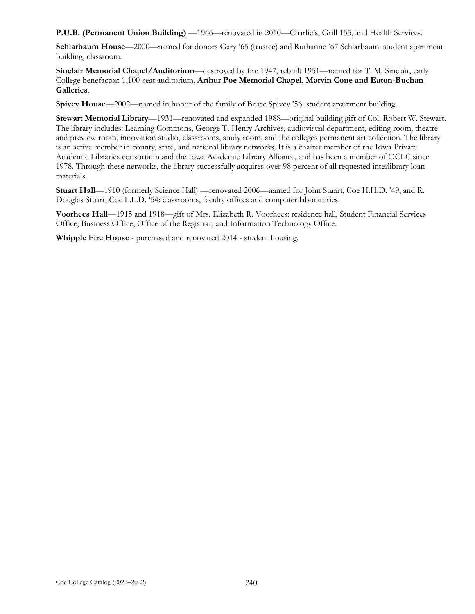**P.U.B. (Permanent Union Building)** —1966—renovated in 2010—Charlie's, Grill 155, and Health Services.

**Schlarbaum House**—2000—named for donors Gary '65 (trustee) and Ruthanne '67 Schlarbaum: student apartment building, classroom.

**Sinclair Memorial Chapel/Auditorium**—destroyed by fire 1947, rebuilt 1951—named for T. M. Sinclair, early College benefactor: 1,100-seat auditorium, **Arthur Poe Memorial Chapel**, **Marvin Cone and Eaton-Buchan Galleries**.

**Spivey House**—2002—named in honor of the family of Bruce Spivey '56: student apartment building.

**Stewart Memorial Library**—1931—renovated and expanded 1988—original building gift of Col. Robert W. Stewart. The library includes: Learning Commons, George T. Henry Archives, audiovisual department, editing room, theatre and preview room, innovation studio, classrooms, study room, and the colleges permanent art collection. The library is an active member in county, state, and national library networks. It is a charter member of the Iowa Private Academic Libraries consortium and the Iowa Academic Library Alliance, and has been a member of OCLC since 1978. Through these networks, the library successfully acquires over 98 percent of all requested interlibrary loan materials.

**Stuart Hall**—1910 (formerly Science Hall) —renovated 2006—named for John Stuart, Coe H.H.D. '49, and R. Douglas Stuart, Coe L.L.D. '54: classrooms, faculty offices and computer laboratories.

**Voorhees Hall**—1915 and 1918—gift of Mrs. Elizabeth R. Voorhees: residence hall, Student Financial Services Office, Business Office, Office of the Registrar, and Information Technology Office.

**Whipple Fire House** - purchased and renovated 2014 - student housing.